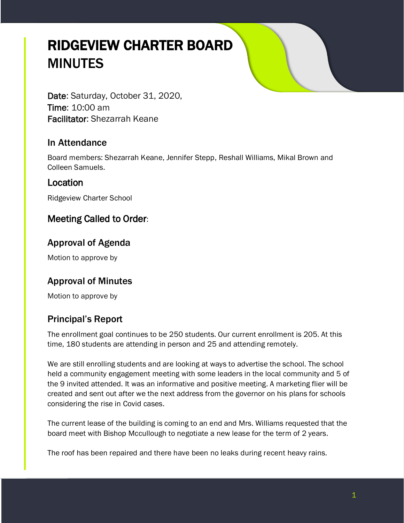# RIDGEVIEW CHARTER BOARD MINUTES

Date: Saturday, October 31, 2020, Time: 10:00 am Facilitator: Shezarrah Keane

### In Attendance

Board members: Shezarrah Keane, Jennifer Stepp, Reshall Williams, Mikal Brown and Colleen Samuels.

#### Location

Ridgeview Charter School

## Meeting Called to Order:

## Approval of Agenda

Motion to approve by

## Approval of Minutes

Motion to approve by

## Principal's Report

The enrollment goal continues to be 250 students. Our current enrollment is 205. At this time, 180 students are attending in person and 25 and attending remotely.

We are still enrolling students and are looking at ways to advertise the school. The school held a community engagement meeting with some leaders in the local community and 5 of the 9 invited attended. It was an informative and positive meeting. A marketing flier will be created and sent out after we the next address from the governor on his plans for schools considering the rise in Covid cases.

The current lease of the building is coming to an end and Mrs. Williams requested that the board meet with Bishop Mccullough to negotiate a new lease for the term of 2 years.

The roof has been repaired and there have been no leaks during recent heavy rains.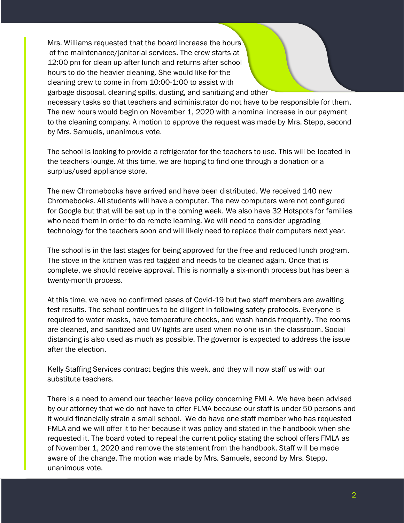Mrs. Williams requested that the board increase the hours of the maintenance/janitorial services. The crew starts at 12:00 pm for clean up after lunch and returns after school hours to do the heavier cleaning. She would like for the cleaning crew to come in from 10:00-1:00 to assist with garbage disposal, cleaning spills, dusting, and sanitizing and other necessary tasks so that teachers and administrator do not have to be responsible for them. The new hours would begin on November 1, 2020 with a nominal increase in our payment to the cleaning company. A motion to approve the request was made by Mrs. Stepp, second by Mrs. Samuels, unanimous vote.

The school is looking to provide a refrigerator for the teachers to use. This will be located in the teachers lounge. At this time, we are hoping to find one through a donation or a surplus/used appliance store.

The new Chromebooks have arrived and have been distributed. We received 140 new Chromebooks. All students will have a computer. The new computers were not configured for Google but that will be set up in the coming week. We also have 32 Hotspots for families who need them in order to do remote learning. We will need to consider upgrading technology for the teachers soon and will likely need to replace their computers next year.

The school is in the last stages for being approved for the free and reduced lunch program. The stove in the kitchen was red tagged and needs to be cleaned again. Once that is complete, we should receive approval. This is normally a six-month process but has been a twenty-month process.

At this time, we have no confirmed cases of Covid-19 but two staff members are awaiting test results. The school continues to be diligent in following safety protocols. Everyone is required to water masks, have temperature checks, and wash hands frequently. The rooms are cleaned, and sanitized and UV lights are used when no one is in the classroom. Social distancing is also used as much as possible. The governor is expected to address the issue after the election.

Kelly Staffing Services contract begins this week, and they will now staff us with our substitute teachers.

There is a need to amend our teacher leave policy concerning FMLA. We have been advised by our attorney that we do not have to offer FLMA because our staff is under 50 persons and it would financially strain a small school. We do have one staff member who has requested FMLA and we will offer it to her because it was policy and stated in the handbook when she requested it. The board voted to repeal the current policy stating the school offers FMLA as of November 1, 2020 and remove the statement from the handbook. Staff will be made aware of the change. The motion was made by Mrs. Samuels, second by Mrs. Stepp, unanimous vote.